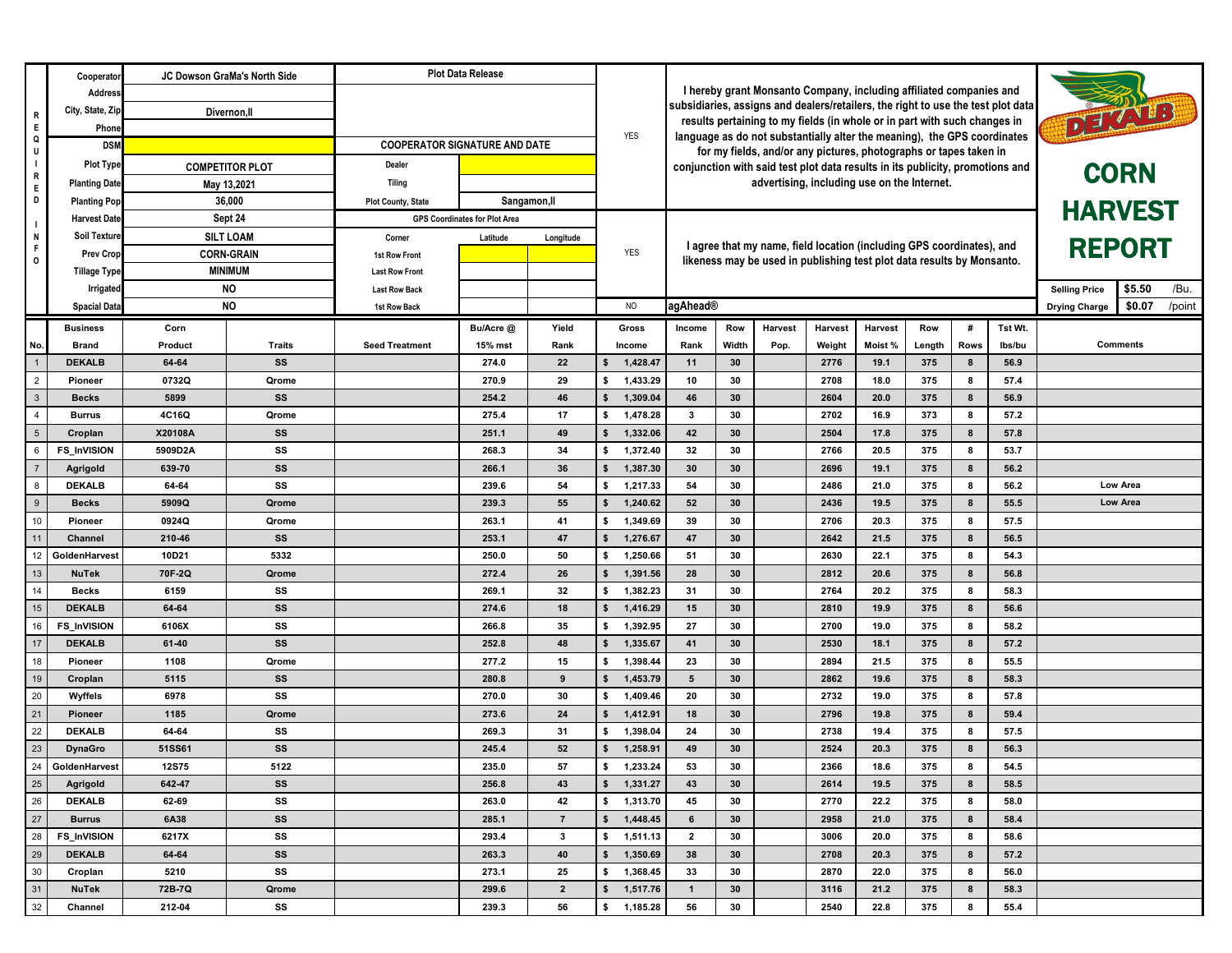|                                | Cooperato                      |                                                                                                                                                                                                                                     | JC Dowson GraMa's North Side |                                                                         | <b>Plot Data Release</b> |                                                                                                                                                                          |                                                                     |                                                                        |                                                                               |                                                                          |              |              |               |        |                      |                      |        |      |
|--------------------------------|--------------------------------|-------------------------------------------------------------------------------------------------------------------------------------------------------------------------------------------------------------------------------------|------------------------------|-------------------------------------------------------------------------|--------------------------|--------------------------------------------------------------------------------------------------------------------------------------------------------------------------|---------------------------------------------------------------------|------------------------------------------------------------------------|-------------------------------------------------------------------------------|--------------------------------------------------------------------------|--------------|--------------|---------------|--------|----------------------|----------------------|--------|------|
| R                              | Address                        |                                                                                                                                                                                                                                     |                              |                                                                         |                          |                                                                                                                                                                          | I hereby grant Monsanto Company, including affiliated companies and |                                                                        |                                                                               |                                                                          |              |              |               |        |                      |                      |        |      |
|                                | City, State, Zip               | Divernon, II                                                                                                                                                                                                                        |                              |                                                                         |                          | subsidiaries, assigns and dealers/retailers, the right to use the test plot data<br>DEZATES<br>results pertaining to my fields (in whole or in part with such changes in |                                                                     |                                                                        |                                                                               |                                                                          |              |              |               |        |                      |                      |        |      |
| E<br>Q                         | Phone                          |                                                                                                                                                                                                                                     |                              |                                                                         |                          |                                                                                                                                                                          | <b>YES</b>                                                          |                                                                        |                                                                               | language as do not substantially alter the meaning), the GPS coordinates |              |              |               |        |                      |                      |        |      |
| U                              | <b>DSM</b>                     |                                                                                                                                                                                                                                     |                              | <b>COOPERATOR SIGNATURE AND DATE</b>                                    |                          |                                                                                                                                                                          |                                                                     |                                                                        |                                                                               | for my fields, and/or any pictures, photographs or tapes taken in        |              |              |               |        |                      |                      |        |      |
| $\blacksquare$<br>R            | <b>Plot Type</b>               | <b>COMPETITOR PLOT</b>                                                                                                                                                                                                              |                              | Dealer                                                                  |                          |                                                                                                                                                                          |                                                                     |                                                                        | conjunction with said test plot data results in its publicity, promotions and |                                                                          |              |              |               |        | <b>CORN</b>          |                      |        |      |
| E                              | <b>Planting Date</b>           |                                                                                                                                                                                                                                     | May 13,2021                  | <b>Tiling</b>                                                           |                          |                                                                                                                                                                          |                                                                     | advertising, including use on the Internet.                            |                                                                               |                                                                          |              |              |               |        |                      |                      |        |      |
| D                              | <b>Planting Pop</b>            | 36,000<br>Sept 24<br><b>Harvest Date</b><br><b>Soil Texture</b><br><b>SILT LOAM</b><br><b>CORN-GRAIN</b><br><b>Prev Crop</b><br><b>MINIMUM</b><br><b>Tillage Type</b><br><b>NO</b><br>Irrigated<br><b>NO</b><br><b>Spacial Data</b> |                              | Sangamon, II<br><b>Plot County, State</b>                               |                          |                                                                                                                                                                          |                                                                     |                                                                        |                                                                               |                                                                          |              |              |               |        |                      | <b>HARVEST</b>       |        |      |
| - 1                            |                                |                                                                                                                                                                                                                                     |                              | <b>GPS Coordinates for Plot Area</b><br>Corner<br>Latitude<br>Longitude |                          | I agree that my name, field location (including GPS coordinates), and                                                                                                    |                                                                     |                                                                        |                                                                               |                                                                          |              |              | <b>REPORT</b> |        |                      |                      |        |      |
| N<br>$\mathsf F$               |                                |                                                                                                                                                                                                                                     |                              |                                                                         |                          |                                                                                                                                                                          |                                                                     |                                                                        |                                                                               |                                                                          |              |              |               |        |                      |                      |        |      |
| $\mathsf{o}$                   |                                |                                                                                                                                                                                                                                     |                              | 1st Row Front                                                           |                          |                                                                                                                                                                          | <b>YES</b>                                                          | likeness may be used in publishing test plot data results by Monsanto. |                                                                               |                                                                          |              |              |               |        |                      |                      |        |      |
|                                |                                |                                                                                                                                                                                                                                     |                              | <b>Last Row Front</b>                                                   |                          |                                                                                                                                                                          |                                                                     |                                                                        |                                                                               |                                                                          |              |              |               |        |                      |                      |        |      |
|                                |                                |                                                                                                                                                                                                                                     |                              | <b>Last Row Back</b>                                                    |                          |                                                                                                                                                                          |                                                                     |                                                                        |                                                                               |                                                                          |              |              |               |        |                      | <b>Selling Price</b> | \$5.50 | /Bu. |
|                                |                                |                                                                                                                                                                                                                                     |                              | 1st Row Back                                                            |                          |                                                                                                                                                                          | <b>NO</b>                                                           | agAhead®                                                               |                                                                               |                                                                          |              |              |               |        | <b>Drying Charge</b> | \$0.07               | /point |      |
|                                | <b>Business</b>                | Corn                                                                                                                                                                                                                                |                              |                                                                         | Bu/Acre @                | Yield                                                                                                                                                                    | Gross                                                               | Income                                                                 | Row                                                                           | Harvest                                                                  | Harvest      | Harvest      | Row           | #      | Tst Wt.              |                      |        |      |
| No.                            | <b>Brand</b>                   | Product                                                                                                                                                                                                                             | <b>Traits</b>                | <b>Seed Treatment</b>                                                   | 15% mst                  | Rank                                                                                                                                                                     | Income                                                              | Rank                                                                   | Width                                                                         | Pop.                                                                     | Weight       | Moist%       | Length        | Rows   | lbs/bu               | <b>Comments</b>      |        |      |
| $\overline{1}$                 | <b>DEKALB</b>                  | 64 64                                                                                                                                                                                                                               | SS                           |                                                                         | 274.0<br>270.9           | 22                                                                                                                                                                       | 1,428.47<br>s.                                                      | 11                                                                     | 30<br>30                                                                      |                                                                          | 2776         | 19.1         | 375           | 8      | 56.9                 |                      |        |      |
| $\overline{2}$<br>$\mathbf{3}$ | Pioneer<br><b>Becks</b>        | 0732Q<br>5899                                                                                                                                                                                                                       | Qrome<br>SS                  |                                                                         | 254.2                    | 29<br>46                                                                                                                                                                 | 1,433.29<br>s.<br>1,309.04<br>\$                                    | 10<br>46                                                               | 30                                                                            |                                                                          | 2708<br>2604 | 18.0<br>20.0 | 375<br>375    | 8<br>8 | 57.4<br>56.9         |                      |        |      |
| $\overline{4}$                 | <b>Burrus</b>                  | 4C16Q                                                                                                                                                                                                                               | Qrome                        |                                                                         | 275.4                    | 17                                                                                                                                                                       | 1,478.28<br>s.                                                      | $\mathbf{3}$                                                           | 30                                                                            |                                                                          | 2702         | 16.9         | 373           | 8      | 57.2                 |                      |        |      |
| $5\overline{5}$                | Croplan                        | X20108A                                                                                                                                                                                                                             | SS                           |                                                                         | 251.1                    | 49                                                                                                                                                                       | 1,332.06<br>s.                                                      | 42                                                                     | 30                                                                            |                                                                          | 2504         | 17.8         | 375           | 8      | 57.8                 |                      |        |      |
| 6                              | <b>FS_InVISION</b>             | 5909D2A                                                                                                                                                                                                                             | SS                           |                                                                         | 268.3                    | 34                                                                                                                                                                       | 1,372.40<br>\$                                                      | 32                                                                     | 30                                                                            |                                                                          | 2766         | 20.5         | 375           | 8      | 53.7                 |                      |        |      |
|                                | Agrigold                       | 639-70                                                                                                                                                                                                                              | SS                           |                                                                         | 266.1                    | 36                                                                                                                                                                       | 1,387.30<br>\$                                                      | 30                                                                     | 30                                                                            |                                                                          | 2696         | 19.1         | 375           | 8      | 56.2                 |                      |        |      |
| 8                              | <b>DEKALB</b>                  | 64 64                                                                                                                                                                                                                               | SS                           |                                                                         | 239.6                    | 54                                                                                                                                                                       | 1,217.33<br>s.                                                      | 54                                                                     | 30                                                                            |                                                                          | 2486         | 21.0         | 375           | 8      | 56.2                 | Low Area             |        |      |
| 9                              | <b>Becks</b>                   | 5909Q                                                                                                                                                                                                                               | Qrome                        |                                                                         | 239.3                    | 55                                                                                                                                                                       | \$<br>1,240.62                                                      | 52                                                                     | 30                                                                            |                                                                          | 2436         | 19.5         | 375           | 8      | 55.5                 | Low Area             |        |      |
| 10                             | Pioneer                        | 0924Q                                                                                                                                                                                                                               | Qrome                        |                                                                         | 263.1                    | 41                                                                                                                                                                       | 1,349.69<br>s.                                                      | 39                                                                     | 30                                                                            |                                                                          | 2706         | 20.3         | 375           | 8      | 57.5                 |                      |        |      |
| 11                             | Channel                        | 210-46                                                                                                                                                                                                                              | SS                           |                                                                         | 253.1                    | 47                                                                                                                                                                       | 1,276.67<br>s.                                                      | 47                                                                     | 30                                                                            |                                                                          | 2642         | 21.5         | 375           | 8      | 56.5                 |                      |        |      |
| 12                             | GoldenHarvest                  | 10D21                                                                                                                                                                                                                               | 5332                         |                                                                         | 250.0                    | 50                                                                                                                                                                       | 1,250.66<br>\$                                                      | 51                                                                     | 30                                                                            |                                                                          | 2630         | 22.1         | 375           | 8      | 54.3                 |                      |        |      |
| 13                             | <b>NuTek</b>                   | 70F-2Q                                                                                                                                                                                                                              | Qrome                        |                                                                         | 272.4                    | 26                                                                                                                                                                       | 1,391.56<br>s.                                                      | 28                                                                     | 30                                                                            |                                                                          | 2812         | 20.6         | 375           | 8      | 56.8                 |                      |        |      |
| 14                             | <b>Becks</b>                   | 6159                                                                                                                                                                                                                                | SS                           |                                                                         | 269.1                    | 32                                                                                                                                                                       | 1,382.23<br>s.                                                      | 31                                                                     | 30                                                                            |                                                                          | 2764         | 20.2         | 375           | 8      | 58.3                 |                      |        |      |
| 15                             | <b>DEKALB</b>                  | 64-64                                                                                                                                                                                                                               | SS                           |                                                                         | 274.6                    | 18                                                                                                                                                                       | 1,416.29<br>S                                                       | 15                                                                     | 30                                                                            |                                                                          | 2810         | 19.9         | 375           | 8      | 56.6                 |                      |        |      |
| 16                             | <b>FS_InVISION</b>             | 6106X                                                                                                                                                                                                                               | SS                           |                                                                         | 266.8                    | 35                                                                                                                                                                       | 1,392.95<br>s.                                                      | 27                                                                     | 30                                                                            |                                                                          | 2700         | 19.0         | 375           | 8      | 58.2                 |                      |        |      |
| 17                             | <b>DEKALB</b>                  | 61-40                                                                                                                                                                                                                               | SS                           |                                                                         | 252.8                    | 48                                                                                                                                                                       | 1,335.67<br>s.                                                      | 41                                                                     | 30                                                                            |                                                                          | 2530         | 18.1         | 375           | 8      | 57.2                 |                      |        |      |
| 18                             | Pioneer                        | 1108                                                                                                                                                                                                                                | Qrome                        |                                                                         | 277.2                    | 15                                                                                                                                                                       | 1,398.44<br>\$                                                      | 23                                                                     | 30                                                                            |                                                                          | 2894         | 21.5         | 375           | 8      | 55.5                 |                      |        |      |
| 19                             | Croplan                        | 5115                                                                                                                                                                                                                                | SS                           |                                                                         | 280.8                    | 9                                                                                                                                                                        | 1,453.79<br>s.                                                      | 5                                                                      | 30                                                                            |                                                                          | 2862         | 19.6         | 375           | 8      | 58.3                 |                      |        |      |
| 20                             | Wyffels                        | 6978                                                                                                                                                                                                                                | SS                           |                                                                         | 270.0                    | 30                                                                                                                                                                       | 1,409.46<br>s.                                                      | 20                                                                     | 30                                                                            |                                                                          | 2732         | 19.0         | 375           | 8      | 57.8                 |                      |        |      |
| 21                             | Pioneer                        | 1185                                                                                                                                                                                                                                | Qrome                        |                                                                         | 273.6                    | 24                                                                                                                                                                       | 1,412.91<br>s.                                                      | 18                                                                     | 30                                                                            |                                                                          | 2796         | 19.8         | 375           | 8      | 59.4                 |                      |        |      |
| 22                             | <b>DEKALB</b>                  | 64-64                                                                                                                                                                                                                               | SS                           |                                                                         | 269.3                    | 31                                                                                                                                                                       | 1,398.04                                                            | 24                                                                     | 30                                                                            |                                                                          | 2738         | 19.4         | 375           | 8      | 57.5                 |                      |        |      |
| 23                             | <b>DynaGro</b>                 | 51SS61                                                                                                                                                                                                                              | SS                           |                                                                         | 245.4                    | 52                                                                                                                                                                       | 1,258.91<br>\$                                                      | 49                                                                     | 30                                                                            |                                                                          | 2524         | 20.3         | 375           | 8      | 56.3                 |                      |        |      |
| 25                             | 24 GoldenHarvest               | <b>12S75</b>                                                                                                                                                                                                                        | 5122                         |                                                                         | 235.0                    | 57                                                                                                                                                                       | 1,233.24<br>\$                                                      | 53                                                                     | 30                                                                            |                                                                          | 2366         | 18.6         | 375           | 8      | 54.5                 |                      |        |      |
| 26                             | Agrigold                       | 642-47                                                                                                                                                                                                                              | SS                           |                                                                         | 256.8                    | 43                                                                                                                                                                       | 1,331.27<br>s.                                                      | 43<br>45                                                               | 30<br>30                                                                      |                                                                          | 2614<br>2770 | 19.5<br>22.2 | 375<br>375    | 8      | 58.5                 |                      |        |      |
| 27                             | <b>DEKALB</b><br><b>Burrus</b> | 62-69<br>6A38                                                                                                                                                                                                                       | SS<br>SS                     |                                                                         | 263.0<br>285.1           | 42<br>$\overline{7}$                                                                                                                                                     | \$ 1,313.70<br>\$<br>1,448.45                                       |                                                                        |                                                                               |                                                                          |              |              |               | 8      | 58.0<br>58.4         |                      |        |      |
| 28                             | <b>FS_InVISION</b>             | 6217X                                                                                                                                                                                                                               | SS                           |                                                                         | 293.4                    | 3                                                                                                                                                                        | \$ 1,511.13                                                         | $\overline{2}$                                                         | 30<br>2958<br>21.0<br>8<br>6<br>375<br>30<br>3006<br>20.0<br>375              |                                                                          | 58.6         |              |               |        |                      |                      |        |      |
| 29                             | <b>DEKALB</b>                  | 64 64                                                                                                                                                                                                                               | SS                           |                                                                         | 263.3                    | 40                                                                                                                                                                       | \$<br>1,350.69                                                      | 38                                                                     | 8<br>30<br>2708<br>20.3<br>375<br>8                                           |                                                                          | 57.2         |              |               |        |                      |                      |        |      |
| 30                             | Croplan                        | 5210                                                                                                                                                                                                                                | SS                           |                                                                         | 273.1                    | 25                                                                                                                                                                       | 1,368.45<br>s.                                                      | 33                                                                     | 30                                                                            |                                                                          | 2870         | 22.0         | 375           | 8      | 56.0                 |                      |        |      |
| $\boxed{31}$                   | <b>NuTek</b>                   | 72B-7Q                                                                                                                                                                                                                              | Qrome                        |                                                                         | 299.6                    | $\overline{2}$                                                                                                                                                           | 1,517.76<br>\$                                                      | $\mathbf{1}$                                                           | 30                                                                            |                                                                          | 3116         | 21.2         | 375           | 8      | 58.3                 |                      |        |      |
| 32                             | Channel                        | 212-04                                                                                                                                                                                                                              | SS                           |                                                                         | 239.3                    | 56                                                                                                                                                                       | \$ 1,185.28                                                         | 56                                                                     | 30                                                                            |                                                                          | 2540         | 22.8         | 375           | 8      | 55.4                 |                      |        |      |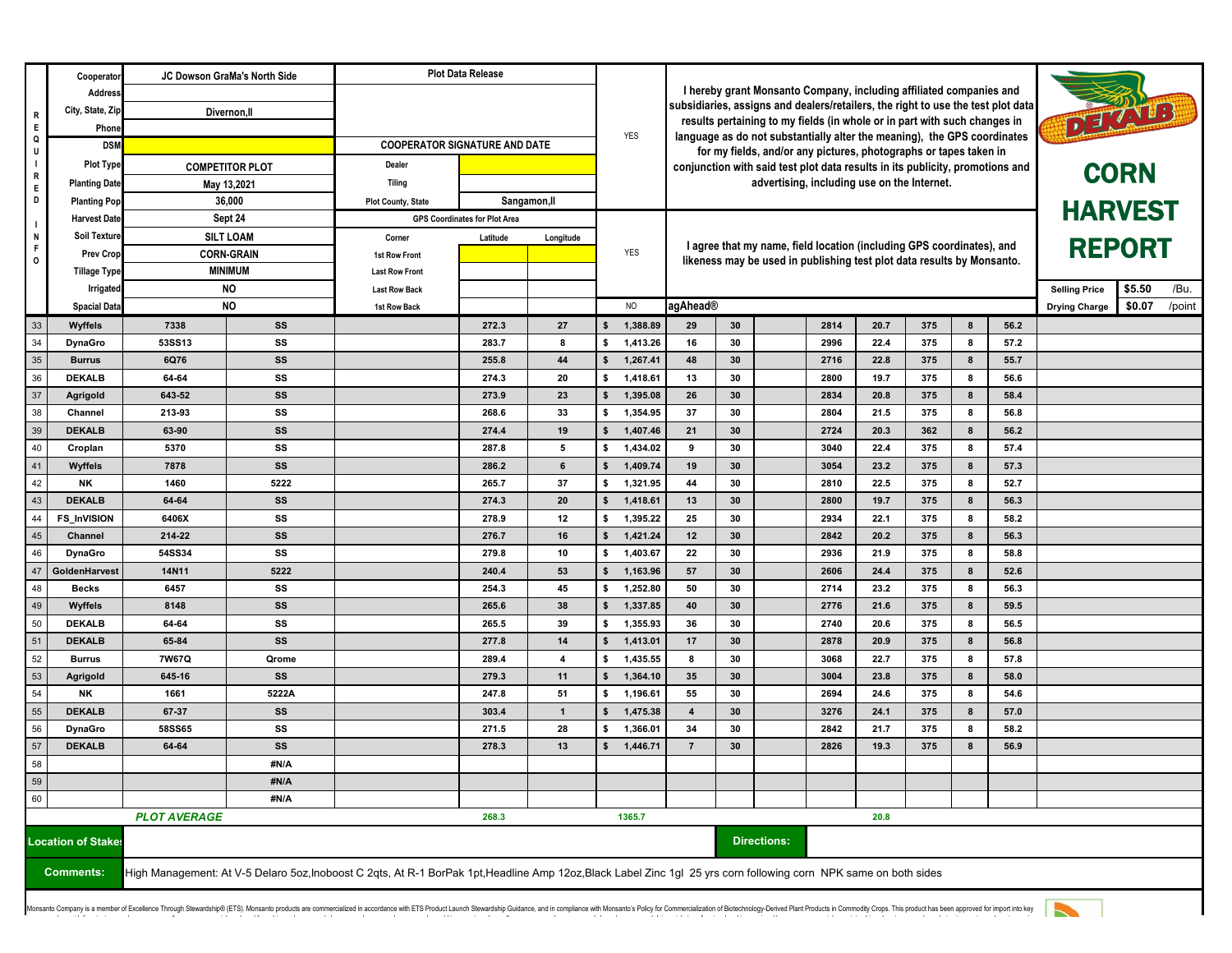|                   | Cooperator                | JC Dowson GraMa's North Side<br>Divernon, II                                                                                                                      |                        | <b>Plot Data Release</b>               |                                                                                                                                                                           |                                                                          | <b>YES</b>                       |                                             |                                                                                        |  |                              |            |        |              |                      |                |
|-------------------|---------------------------|-------------------------------------------------------------------------------------------------------------------------------------------------------------------|------------------------|----------------------------------------|---------------------------------------------------------------------------------------------------------------------------------------------------------------------------|--------------------------------------------------------------------------|----------------------------------|---------------------------------------------|----------------------------------------------------------------------------------------|--|------------------------------|------------|--------|--------------|----------------------|----------------|
|                   | Address                   |                                                                                                                                                                   |                        |                                        | I hereby grant Monsanto Company, including affiliated companies and                                                                                                       |                                                                          |                                  |                                             |                                                                                        |  |                              |            |        |              |                      |                |
| R                 | City, State, Zip          |                                                                                                                                                                   |                        |                                        | subsidiaries, assigns and dealers/retailers, the right to use the test plot data<br>DE ZAVES<br>results pertaining to my fields (in whole or in part with such changes in |                                                                          |                                  |                                             |                                                                                        |  |                              |            |        |              |                      |                |
| E<br>Q            | Phone                     |                                                                                                                                                                   |                        |                                        |                                                                                                                                                                           | language as do not substantially alter the meaning), the GPS coordinates |                                  |                                             |                                                                                        |  |                              |            |        |              |                      |                |
| U                 | <b>DSM</b>                |                                                                                                                                                                   |                        | <b>COOPERATOR SIGNATURE AND DATE</b>   |                                                                                                                                                                           |                                                                          |                                  |                                             | for my fields, and/or any pictures, photographs or tapes taken in                      |  |                              |            |        |              |                      |                |
| $\mathbf{I}$<br>R | <b>Plot Type</b>          |                                                                                                                                                                   | <b>COMPETITOR PLOT</b> | Dealer                                 |                                                                                                                                                                           |                                                                          |                                  |                                             | conjunction with said test plot data results in its publicity, promotions and          |  |                              |            |        |              |                      | <b>CORN</b>    |
| E                 | <b>Planting Date</b>      |                                                                                                                                                                   | May 13,2021            | Tiling                                 |                                                                                                                                                                           |                                                                          |                                  | advertising, including use on the Internet. |                                                                                        |  |                              |            |        |              |                      |                |
| D                 | <b>Planting Pop</b>       | 36,000<br>Sept 24<br><b>Harvest Date</b><br><b>Soil Texture</b><br><b>SILT LOAM</b><br><b>CORN-GRAIN</b><br><b>Prev Crop</b>                                      |                        | <b>Plot County, State</b>              |                                                                                                                                                                           | Sangamon, II                                                             |                                  | <b>HARVEST</b>                              |                                                                                        |  |                              |            |        |              |                      |                |
| $\blacksquare$    |                           |                                                                                                                                                                   |                        |                                        | <b>GPS Coordinates for Plot Area</b>                                                                                                                                      |                                                                          |                                  |                                             |                                                                                        |  |                              |            |        |              |                      |                |
| N<br>F            |                           |                                                                                                                                                                   |                        | Corner                                 | Latitude                                                                                                                                                                  | Longitude                                                                | <b>YES</b>                       |                                             | <b>REPORT</b><br>I agree that my name, field location (including GPS coordinates), and |  |                              |            |        |              |                      |                |
| $\mathsf{o}$      | <b>Tillage Type</b>       |                                                                                                                                                                   | <b>MINIMUM</b>         | 1st Row Front<br><b>Last Row Front</b> |                                                                                                                                                                           |                                                                          |                                  |                                             | likeness may be used in publishing test plot data results by Monsanto.                 |  |                              |            |        |              |                      |                |
|                   | Irrigated                 | <b>NO</b><br><b>NO</b>                                                                                                                                            |                        | <b>Last Row Back</b>                   |                                                                                                                                                                           |                                                                          |                                  |                                             |                                                                                        |  |                              |            |        |              | <b>Selling Price</b> | \$5.50<br>/Bu. |
|                   | <b>Spacial Data</b>       |                                                                                                                                                                   |                        | 1st Row Back                           |                                                                                                                                                                           |                                                                          | NO                               |                                             | agAhead®<br><b>Drying Charge</b>                                                       |  |                              |            |        |              | \$0.07<br>/point     |                |
| 33                | Wyffels                   | 7338                                                                                                                                                              | SS                     |                                        | 272.3                                                                                                                                                                     | 27                                                                       | 1,388.89<br>\$                   | 29                                          | 30                                                                                     |  | 2814<br>20.7                 | 375        | 8      | 56.2         |                      |                |
| 34                | <b>DynaGro</b>            | 53SS13                                                                                                                                                            | SS                     |                                        | 283.7                                                                                                                                                                     | 8                                                                        | 1,413.26<br>\$                   | 16                                          | 30                                                                                     |  | 2996<br>22.4                 | 375        | 8      | 57.2         |                      |                |
| 35                | <b>Burrus</b>             | 6Q76                                                                                                                                                              | SS                     |                                        | 255.8                                                                                                                                                                     | 44                                                                       | 1,267.41<br>\$                   | 48                                          | 30                                                                                     |  | 2716<br>22.8                 | 375        | 8      | 55.7         |                      |                |
| 36                | <b>DEKALB</b>             | 64-64                                                                                                                                                             | SS                     |                                        | 274.3                                                                                                                                                                     | 20                                                                       | \$<br>1,418.61                   | 13                                          | 30                                                                                     |  | 19.7<br>2800                 | 375        | 8      | 56.6         |                      |                |
| 37                | Agrigold                  | 643 52                                                                                                                                                            | SS                     |                                        | 273.9                                                                                                                                                                     | 23                                                                       | 1,395.08<br>\$                   | 26                                          | 30                                                                                     |  | 20.8<br>2834                 | 375        | 8      | 58.4         |                      |                |
| 38                | Channel                   | 213-93                                                                                                                                                            | SS                     |                                        | 268.6                                                                                                                                                                     | 33                                                                       | s.<br>1,354.95                   | 37                                          | 30                                                                                     |  | 2804<br>21.5                 | 375        | 8      | 56.8         |                      |                |
| 39                | <b>DEKALB</b>             | 63-90                                                                                                                                                             | SS                     |                                        | 274.4                                                                                                                                                                     | 19                                                                       | 1,407.46<br>\$                   | 21                                          | 30                                                                                     |  | 2724<br>20.3                 | 362        | 8      | 56.2         |                      |                |
| 40                | Croplan                   | 5370                                                                                                                                                              | SS                     |                                        | 287.8                                                                                                                                                                     | 5                                                                        | s.<br>1,434.02                   | 9                                           | 30                                                                                     |  | 22.4<br>3040                 | 375        | 8      | 57.4         |                      |                |
| 41                | Wyffels                   | 7878                                                                                                                                                              | SS                     |                                        | 286.2                                                                                                                                                                     | 6                                                                        | \$<br>1,409.74                   | 19                                          | 30                                                                                     |  | 3054<br>23.2                 | 375        | 8      | 57.3         |                      |                |
| 42                | <b>NK</b>                 | 1460                                                                                                                                                              | 5222                   |                                        | 265.7                                                                                                                                                                     | 37                                                                       | \$<br>1,321.95                   | 44                                          | 30                                                                                     |  | 22.5<br>2810                 | 375        | 8      | 52.7         |                      |                |
| 43                | <b>DEKALB</b>             | 64 64                                                                                                                                                             | SS                     |                                        | 274.3                                                                                                                                                                     | 20                                                                       | 1,418.61<br>Ŝ.                   | 13                                          | 30                                                                                     |  | 2800<br>19.7                 | 375        | 8      | 56.3         |                      |                |
| 44                | <b>FS_InVISION</b>        | 6406X<br>214-22                                                                                                                                                   | SS<br>SS               |                                        | 278.9<br>276.7                                                                                                                                                            | 12<br>16                                                                 | s.<br>1,395.22<br>1,421.24<br>\$ | 25<br>12                                    | 30<br>30                                                                               |  | 2934<br>22.1<br>2842<br>20.2 | 375<br>375 | 8<br>8 | 58.2<br>56.3 |                      |                |
| 45<br>46          | Channel<br><b>DynaGro</b> | 54SS34                                                                                                                                                            | SS                     |                                        | 279.8                                                                                                                                                                     | 10                                                                       | 1,403.67<br>\$                   | 22                                          | 30                                                                                     |  | 21.9<br>2936                 | 375        | 8      | 58.8         |                      |                |
| 47                | GoldenHarvest             | 14N11                                                                                                                                                             | 5222                   |                                        | 240.4                                                                                                                                                                     | 53                                                                       | 1,163.96<br>\$                   | 57                                          | 30                                                                                     |  | 2606<br>24.4                 | 375        | 8      | 52.6         |                      |                |
| 48                | <b>Becks</b>              | 6457                                                                                                                                                              | SS                     |                                        | 254.3                                                                                                                                                                     | 45                                                                       | s.<br>1,252.80                   | 50                                          | 30                                                                                     |  | 2714<br>23.2                 | 375        | 8      | 56.3         |                      |                |
| 49                | Wyffels                   | 8148                                                                                                                                                              | SS                     |                                        | 265.6                                                                                                                                                                     | 38                                                                       | 1,337.85<br>\$                   | 40                                          | 30                                                                                     |  | 2776<br>21.6                 | 375        | 8      | 59.5         |                      |                |
| 50                | <b>DEKALB</b>             | 64-64                                                                                                                                                             | SS                     |                                        | 265.5                                                                                                                                                                     | 39                                                                       | 1,355.93<br>s.                   | 36                                          | 30                                                                                     |  | 2740<br>20.6                 | 375        | 8      | 56.5         |                      |                |
| 51                | <b>DEKALB</b>             | 65-84                                                                                                                                                             | SS                     |                                        | 277.8                                                                                                                                                                     | 14                                                                       | \$<br>1,413.01                   | 17                                          | 30                                                                                     |  | 2878<br>20.9                 | 375        | 8      | 56.8         |                      |                |
| 52                | <b>Burrus</b>             | 7W67Q                                                                                                                                                             | Qrome                  |                                        | 289.4                                                                                                                                                                     | 4                                                                        | s.<br>1,435.55                   | 8                                           | 30                                                                                     |  | 3068<br>22.7                 | 375        | 8      | 57.8         |                      |                |
| 53                | Agrigold                  | 645 16                                                                                                                                                            | SS                     |                                        | 279.3                                                                                                                                                                     | 11                                                                       | 1,364.10<br>\$                   | 35                                          | 30                                                                                     |  | 3004<br>23.8                 | 375        | 8      | 58.0         |                      |                |
| 54                | NK                        | 1661                                                                                                                                                              | 5222A                  |                                        | 247.8                                                                                                                                                                     | 51                                                                       | \$<br>1,196.61                   | 55                                          | 30                                                                                     |  | 2694<br>24.6                 | 375        | 8      | 54.6         |                      |                |
| 55                | <b>DEKALB</b>             | 67 37                                                                                                                                                             | SS                     |                                        | 303.4                                                                                                                                                                     | $\mathbf{1}$                                                             | 1,475.38<br>\$                   | $\overline{\mathbf{4}}$                     | 30                                                                                     |  | 3276<br>24.1                 | 375        | 8      | 57.0         |                      |                |
| 56                | <b>DynaGro</b>            | <b>58SS65</b>                                                                                                                                                     | SS                     |                                        | 271.5                                                                                                                                                                     | 28                                                                       | 1,366.01<br>\$                   | 34                                          | 30                                                                                     |  | 2842<br>21.7                 | 375        | 8      | 58.2         |                      |                |
| 57                | <b>DEKALB</b>             | 64-64                                                                                                                                                             | SS                     |                                        | 278.3                                                                                                                                                                     | 13                                                                       | 1,446.71<br>\$                   | $\overline{7}$                              | 30                                                                                     |  | 2826<br>19.3                 | 375        | 8      | 56.9         |                      |                |
| 58<br>59          |                           |                                                                                                                                                                   | #N/A                   |                                        |                                                                                                                                                                           |                                                                          |                                  |                                             |                                                                                        |  |                              |            |        |              |                      |                |
|                   |                           |                                                                                                                                                                   | #N/A                   |                                        |                                                                                                                                                                           |                                                                          |                                  |                                             |                                                                                        |  |                              |            |        |              |                      |                |
| 60                |                           | #N/A<br><b>PLOT AVERAGE</b>                                                                                                                                       |                        | 268.3                                  |                                                                                                                                                                           |                                                                          | 1365.7                           |                                             |                                                                                        |  | 20.8                         |            |        |              |                      |                |
|                   |                           |                                                                                                                                                                   |                        |                                        |                                                                                                                                                                           |                                                                          |                                  |                                             |                                                                                        |  |                              |            |        |              |                      |                |
|                   | <b>Location of Stakes</b> |                                                                                                                                                                   |                        |                                        |                                                                                                                                                                           |                                                                          |                                  |                                             | <b>Directions:</b>                                                                     |  |                              |            |        |              |                      |                |
|                   | <b>Comments:</b>          | High Management: At V-5 Delaro 5oz, Inoboost C 2qts, At R-1 BorPak 1pt, Headline Amp 12oz, Black Label Zinc 1gl 25 yrs corn following corn NPK same on both sides |                        |                                        |                                                                                                                                                                           |                                                                          |                                  |                                             |                                                                                        |  |                              |            |        |              |                      |                |
|                   |                           |                                                                                                                                                                   |                        |                                        |                                                                                                                                                                           |                                                                          |                                  |                                             |                                                                                        |  |                              |            |        |              |                      |                |